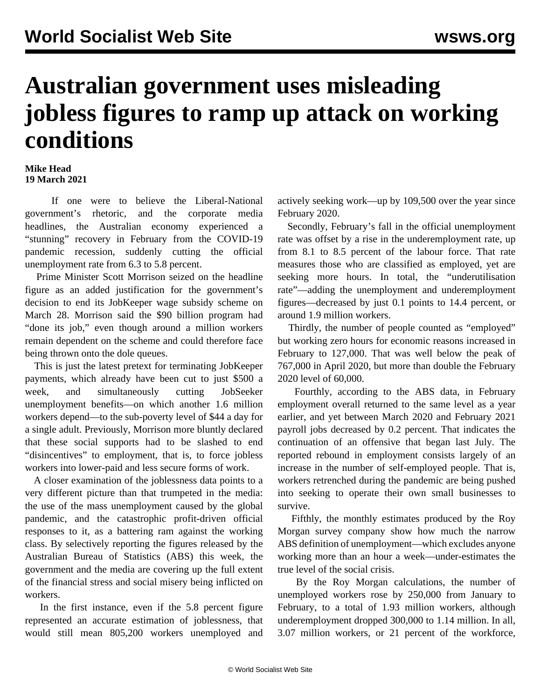## **Australian government uses misleading jobless figures to ramp up attack on working conditions**

## **Mike Head 19 March 2021**

 If one were to believe the Liberal-National government's rhetoric, and the corporate media headlines, the Australian economy experienced a "stunning" recovery in February from the COVID-19 pandemic recession, suddenly cutting the official unemployment rate from 6.3 to 5.8 percent.

 Prime Minister Scott Morrison seized on the headline figure as an added justification for the government's decision to end its JobKeeper wage subsidy scheme on March 28. Morrison said the \$90 billion program had "done its job," even though around a million workers remain dependent on the scheme and could therefore face being thrown onto the dole queues.

 This is just the latest pretext for terminating JobKeeper payments, which already have been cut to just \$500 a week, and simultaneously cutting JobSeeker unemployment benefits—on which another 1.6 million workers depend—to the sub-poverty level of \$44 a day for a single adult. Previously, Morrison more bluntly declared that these social supports had to be slashed to end "disincentives" to employment, that is, to force jobless workers into lower-paid and less secure forms of work.

 A closer examination of the joblessness data points to a very different picture than that trumpeted in the media: the use of the mass unemployment caused by the global pandemic, and the catastrophic profit-driven official responses to it, as a battering ram against the working class. By selectively reporting the figures released by the Australian Bureau of Statistics (ABS) this week, the government and the media are covering up the full extent of the financial stress and social misery being inflicted on workers.

 In the first instance, even if the 5.8 percent figure represented an accurate estimation of joblessness, that would still mean 805,200 workers unemployed and actively seeking work—up by 109,500 over the year since February 2020.

 Secondly, February's fall in the official unemployment rate was offset by a rise in the underemployment rate, up from 8.1 to 8.5 percent of the labour force. That rate measures those who are classified as employed, yet are seeking more hours. In total, the "underutilisation rate"—adding the unemployment and underemployment figures—decreased by just 0.1 points to 14.4 percent, or around 1.9 million workers.

 Thirdly, the number of people counted as "employed" but working zero hours for economic reasons increased in February to 127,000. That was well below the peak of 767,000 in April 2020, but more than double the February 2020 level of 60,000.

 Fourthly, according to the ABS data, in February employment overall returned to the same level as a year earlier, and yet between March 2020 and February 2021 payroll jobs decreased by 0.2 percent. That indicates the continuation of an offensive that began last July. The reported rebound in employment consists largely of an increase in the number of self-employed people. That is, workers retrenched during the pandemic are being pushed into seeking to operate their own small businesses to survive.

 Fifthly, the monthly estimates produced by the Roy Morgan survey company show how much the narrow ABS definition of unemployment—which excludes anyone working more than an hour a week—under-estimates the true level of the social crisis.

 By the Roy Morgan calculations, the number of unemployed workers rose by 250,000 from January to February, to a total of 1.93 million workers, although underemployment dropped 300,000 to 1.14 million. In all, 3.07 million workers, or 21 percent of the workforce,